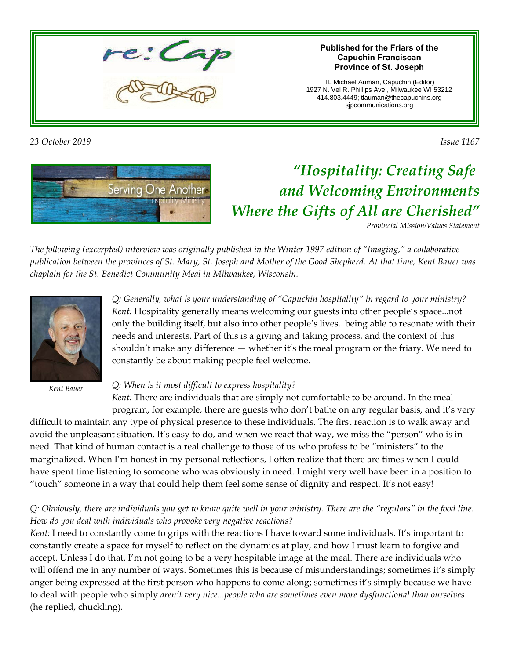#### **Published for the Friars of the Capuchin Franciscan Province of St. Joseph**

TL Michael Auman, Capuchin (Editor) 1927 N. Vel R. Phillips Ave., Milwaukee WI 53212 414.803.4449; tlauman@thecapuchins.org sjpcommunications.org

*23 October 2019 Issue 1167*

# *"Hospitality: Creating Safe and Welcoming Environments Where the Gifts of All are Cherished"*

*Provincial Mission/Values Statement*

*The following (excerpted) interview was originally published in the Winter 1997 edition of "Imaging," a collaborative publication between the provinces of St. Mary, St. Joseph and Mother of the Good Shepherd. At that time, Kent Bauer was chaplain for the St. Benedict Community Meal in Milwaukee, Wisconsin.*

> shouldn't make any difference — whether it's the meal program or the friary. We need to constantly be about making people feel welcome.

*Q: When is it most difficult to express hospitality?*

*Kent:* There are individuals that are simply not comfortable to be around. In the meal program, for example, there are guests who don't bathe on any regular basis, and it's very

*Q: Generally, what is your understanding of "Capuchin hospitality" in regard to your ministry? Kent:* Hospitality generally means welcoming our guests into other people's space...not only the building itself, but also into other people's lives...being able to resonate with their needs and interests. Part of this is a giving and taking process, and the context of this

difficult to maintain any type of physical presence to these individuals. The first reaction is to walk away and avoid the unpleasant situation. It's easy to do, and when we react that way, we miss the "person" who is in need. That kind of human contact is a real challenge to those of us who profess to be "ministers" to the marginalized. When I'm honest in my personal reflections, I often realize that there are times when I could have spent time listening to someone who was obviously in need. I might very well have been in a position to "touch" someone in a way that could help them feel some sense of dignity and respect. It's not easy!

#### *Q: Obviously, there are individuals you get to know quite well in your ministry. There are the "regulars" in the food line. How do you deal with individuals who provoke very negative reactions?*

*Kent:* I need to constantly come to grips with the reactions I have toward some individuals. It's important to constantly create a space for myself to reflect on the dynamics at play, and how I must learn to forgive and accept. Unless I do that, I'm not going to be a very hospitable image at the meal. There are individuals who will offend me in any number of ways. Sometimes this is because of misunderstandings; sometimes it's simply anger being expressed at the first person who happens to come along; sometimes it's simply because we have to deal with people who simply *aren't very nice...people who are sometimes even more dysfunctional than ourselves* (he replied, chuckling).

# Serving One Another





*Kent Bauer*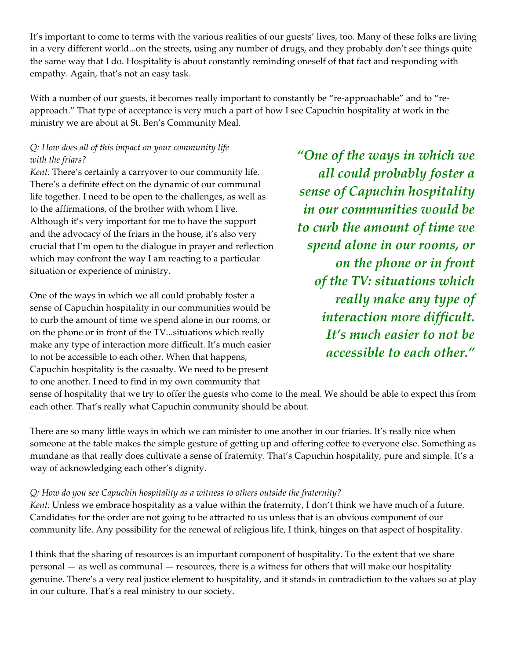It's important to come to terms with the various realities of our guests' lives, too. Many of these folks are living in a very different world...on the streets, using any number of drugs, and they probably don't see things quite the same way that I do. Hospitality is about constantly reminding oneself of that fact and responding with empathy. Again, that's not an easy task.

With a number of our guests, it becomes really important to constantly be "re-approachable" and to "reapproach." That type of acceptance is very much a part of how I see Capuchin hospitality at work in the ministry we are about at St. Ben's Community Meal.

#### *Q: How does all of this impact on your community life with the friars?*

*Kent:* There's certainly a carryover to our community life. There's a definite effect on the dynamic of our communal life together. I need to be open to the challenges, as well as to the affirmations, of the brother with whom I live. Although it's very important for me to have the support and the advocacy of the friars in the house, it's also very crucial that I'm open to the dialogue in prayer and reflection which may confront the way I am reacting to a particular situation or experience of ministry.

One of the ways in which we all could probably foster a sense of Capuchin hospitality in our communities would be to curb the amount of time we spend alone in our rooms, or on the phone or in front of the TV...situations which really make any type of interaction more difficult. It's much easier to not be accessible to each other. When that happens, Capuchin hospitality is the casualty. We need to be present to one another. I need to find in my own community that

*"One of the ways in which we all could probably foster a sense of Capuchin hospitality in our communities would be to curb the amount of time we spend alone in our rooms, or on the phone or in front of the TV: situations which really make any type of interaction more difficult. It's much easier to not be accessible to each other."*

sense of hospitality that we try to offer the guests who come to the meal. We should be able to expect this from each other. That's really what Capuchin community should be about.

There are so many little ways in which we can minister to one another in our friaries. It's really nice when someone at the table makes the simple gesture of getting up and offering coffee to everyone else. Something as mundane as that really does cultivate a sense of fraternity. That's Capuchin hospitality, pure and simple. It's a way of acknowledging each other's dignity.

#### *Q: How do you see Capuchin hospitality as a witness to others outside the fraternity?*

*Kent:* Unless we embrace hospitality as a value within the fraternity, I don't think we have much of a future. Candidates for the order are not going to be attracted to us unless that is an obvious component of our community life. Any possibility for the renewal of religious life, I think, hinges on that aspect of hospitality.

I think that the sharing of resources is an important component of hospitality. To the extent that we share personal — as well as communal — resources, there is a witness for others that will make our hospitality genuine. There's a very real justice element to hospitality, and it stands in contradiction to the values so at play in our culture. That's a real ministry to our society.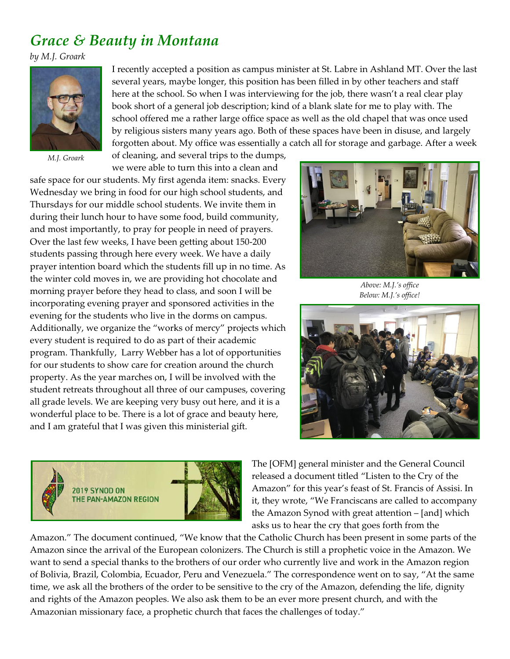## *Grace & Beauty in Montana*

*by M.J. Groark*



*M.J. Groark*

I recently accepted a position as campus minister at St. Labre in Ashland MT. Over the last several years, maybe longer, this position has been filled in by other teachers and staff here at the school. So when I was interviewing for the job, there wasn't a real clear play book short of a general job description; kind of a blank slate for me to play with. The school offered me a rather large office space as well as the old chapel that was once used by religious sisters many years ago. Both of these spaces have been in disuse, and largely forgotten about. My office was essentially a catch all for storage and garbage. After a week

of cleaning, and several trips to the dumps, we were able to turn this into a clean and

safe space for our students. My first agenda item: snacks. Every Wednesday we bring in food for our high school students, and Thursdays for our middle school students. We invite them in during their lunch hour to have some food, build community, and most importantly, to pray for people in need of prayers. Over the last few weeks, I have been getting about 150-200 students passing through here every week. We have a daily prayer intention board which the students fill up in no time. As the winter cold moves in, we are providing hot chocolate and morning prayer before they head to class, and soon I will be incorporating evening prayer and sponsored activities in the evening for the students who live in the dorms on campus. Additionally, we organize the "works of mercy" projects which every student is required to do as part of their academic program. Thankfully, Larry Webber has a lot of opportunities for our students to show care for creation around the church property. As the year marches on, I will be involved with the student retreats throughout all three of our campuses, covering all grade levels. We are keeping very busy out here, and it is a wonderful place to be. There is a lot of grace and beauty here, and I am grateful that I was given this ministerial gift.



*Above: M.J.'s office Below: M.J.'s office!*





The [OFM] general minister and the General Council released a document titled "Listen to the Cry of the Amazon" for this year's feast of St. Francis of Assisi. In it, they wrote, "We Franciscans are called to accompany the Amazon Synod with great attention – [and] which asks us to hear the cry that goes forth from the

Amazon." The document continued, "We know that the Catholic Church has been present in some parts of the Amazon since the arrival of the European colonizers. The Church is still a prophetic voice in the Amazon. We want to send a special thanks to the brothers of our order who currently live and work in the Amazon region of Bolivia, Brazil, Colombia, Ecuador, Peru and Venezuela." The correspondence went on to say, "At the same time, we ask all the brothers of the order to be sensitive to the cry of the Amazon, defending the life, dignity and rights of the Amazon peoples. We also ask them to be an ever more present church, and with the Amazonian missionary face, a prophetic church that faces the challenges of today."